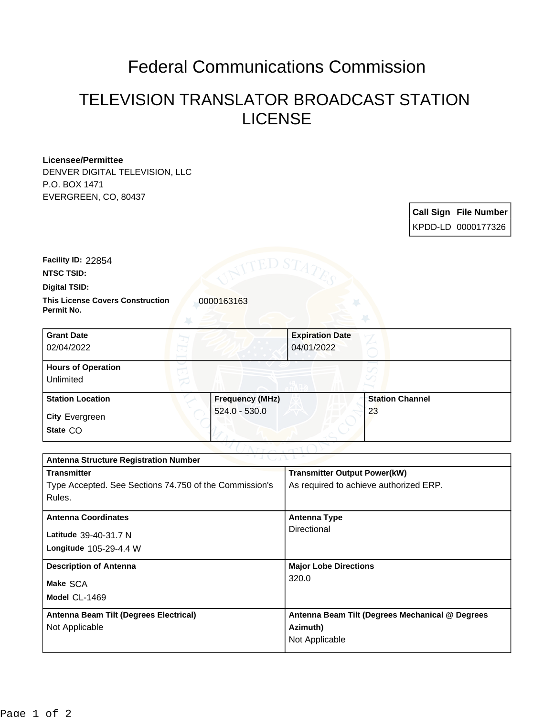## Federal Communications Commission

## TELEVISION TRANSLATOR BROADCAST STATION LICENSE

## **Licensee/Permittee**

DENVER DIGITAL TELEVISION, LLC P.O. BOX 1471 EVERGREEN, CO, 80437

> **Call Sign File Number** KPDD-LD 0000177326

**NTSC TSID: Facility ID:** 22854

**Digital TSID:**

**This License Covers Construction**  0000163163 **Permit No.**

| <b>Grant Date</b><br>02/04/2022        |                        | <b>Expiration Date</b><br>04/01/2022 |                        |  |
|----------------------------------------|------------------------|--------------------------------------|------------------------|--|
| <b>Hours of Operation</b><br>Unlimited |                        |                                      |                        |  |
| <b>Station Location</b>                | <b>Frequency (MHz)</b> |                                      | <b>Station Channel</b> |  |
| <b>City Evergreen</b><br>State CO      | $524.0 - 530.0$        |                                      | 23                     |  |

| つきまし パーレン<br><b>Antenna Structure Registration Number</b> |                                                 |  |  |  |
|-----------------------------------------------------------|-------------------------------------------------|--|--|--|
| <b>Transmitter</b>                                        | <b>Transmitter Output Power(kW)</b>             |  |  |  |
| Type Accepted. See Sections 74.750 of the Commission's    | As required to achieve authorized ERP.          |  |  |  |
| Rules.                                                    |                                                 |  |  |  |
| <b>Antenna Coordinates</b>                                | <b>Antenna Type</b>                             |  |  |  |
|                                                           | Directional                                     |  |  |  |
| Latitude 39-40-31.7 N                                     |                                                 |  |  |  |
| Longitude $105-29-4.4$ W                                  |                                                 |  |  |  |
| <b>Description of Antenna</b>                             | <b>Major Lobe Directions</b>                    |  |  |  |
| Make SCA                                                  | 320.0                                           |  |  |  |
| Model CL-1469                                             |                                                 |  |  |  |
|                                                           |                                                 |  |  |  |
| Antenna Beam Tilt (Degrees Electrical)                    | Antenna Beam Tilt (Degrees Mechanical @ Degrees |  |  |  |
| Not Applicable                                            | Azimuth)                                        |  |  |  |
|                                                           | Not Applicable                                  |  |  |  |
|                                                           |                                                 |  |  |  |